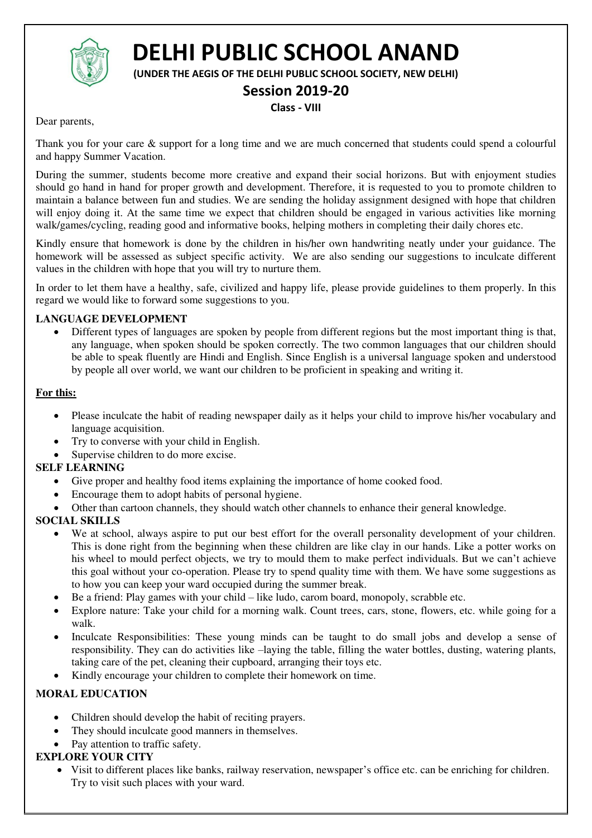

# **DELHI PUBLIC SCHOOL ANAND**

**(UNDER THE AEGIS OF THE DELHI PUBLIC SCHOOL SOCIETY, NEW DELHI)** 

# **Session 2019-20**

### **Class - VIII**

Dear parents,

Thank you for your care & support for a long time and we are much concerned that students could spend a colourful and happy Summer Vacation.

During the summer, students become more creative and expand their social horizons. But with enjoyment studies should go hand in hand for proper growth and development. Therefore, it is requested to you to promote children to maintain a balance between fun and studies. We are sending the holiday assignment designed with hope that children will enjoy doing it. At the same time we expect that children should be engaged in various activities like morning walk/games/cycling, reading good and informative books, helping mothers in completing their daily chores etc.

Kindly ensure that homework is done by the children in his/her own handwriting neatly under your guidance. The homework will be assessed as subject specific activity. We are also sending our suggestions to inculcate different values in the children with hope that you will try to nurture them.

In order to let them have a healthy, safe, civilized and happy life, please provide guidelines to them properly. In this regard we would like to forward some suggestions to you.

#### **LANGUAGE DEVELOPMENT**

 Different types of languages are spoken by people from different regions but the most important thing is that, any language, when spoken should be spoken correctly. The two common languages that our children should be able to speak fluently are Hindi and English. Since English is a universal language spoken and understood by people all over world, we want our children to be proficient in speaking and writing it.

#### **For this:**

- Please inculcate the habit of reading newspaper daily as it helps your child to improve his/her vocabulary and language acquisition.
- Try to converse with your child in English.
- Supervise children to do more excise.

#### **SELF LEARNING**

- Give proper and healthy food items explaining the importance of home cooked food.
- Encourage them to adopt habits of personal hygiene.
- Other than cartoon channels, they should watch other channels to enhance their general knowledge.

#### **SOCIAL SKILLS**

- We at school, always aspire to put our best effort for the overall personality development of your children. This is done right from the beginning when these children are like clay in our hands. Like a potter works on his wheel to mould perfect objects, we try to mould them to make perfect individuals. But we can't achieve this goal without your co-operation. Please try to spend quality time with them. We have some suggestions as to how you can keep your ward occupied during the summer break.
- Be a friend: Play games with your child like ludo, carom board, monopoly, scrabble etc.
- Explore nature: Take your child for a morning walk. Count trees, cars, stone, flowers, etc. while going for a walk.
- Inculcate Responsibilities: These young minds can be taught to do small jobs and develop a sense of responsibility. They can do activities like –laying the table, filling the water bottles, dusting, watering plants, taking care of the pet, cleaning their cupboard, arranging their toys etc.
- Kindly encourage your children to complete their homework on time.

# **MORAL EDUCATION**

- Children should develop the habit of reciting prayers.
- They should inculcate good manners in themselves.
- Pay attention to traffic safety.

# **EXPLORE YOUR CITY**

 Visit to different places like banks, railway reservation, newspaper's office etc. can be enriching for children. Try to visit such places with your ward.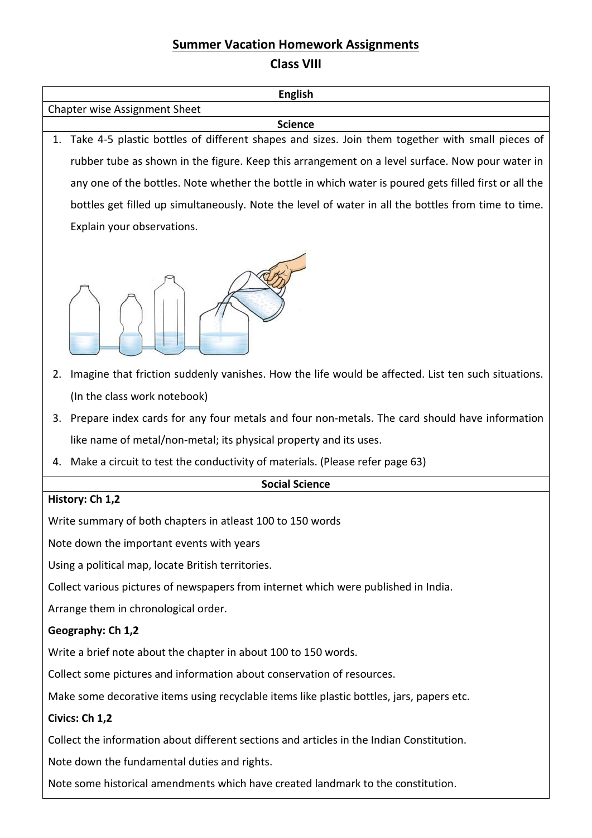# **Summer Vacation Homework Assignments Class VIII**

| <b>English</b>                                                                                                    |                                                                                                       |  |
|-------------------------------------------------------------------------------------------------------------------|-------------------------------------------------------------------------------------------------------|--|
| Chapter wise Assignment Sheet                                                                                     |                                                                                                       |  |
| <b>Science</b><br>Take 4-5 plastic bottles of different shapes and sizes. Join them together with small pieces of |                                                                                                       |  |
| 1.                                                                                                                |                                                                                                       |  |
|                                                                                                                   | rubber tube as shown in the figure. Keep this arrangement on a level surface. Now pour water in       |  |
|                                                                                                                   | any one of the bottles. Note whether the bottle in which water is poured gets filled first or all the |  |
|                                                                                                                   | bottles get filled up simultaneously. Note the level of water in all the bottles from time to time.   |  |
|                                                                                                                   | Explain your observations.                                                                            |  |
|                                                                                                                   |                                                                                                       |  |
| 2.                                                                                                                | Imagine that friction suddenly vanishes. How the life would be affected. List ten such situations.    |  |
|                                                                                                                   | (In the class work notebook)                                                                          |  |
| 3.                                                                                                                | Prepare index cards for any four metals and four non-metals. The card should have information         |  |
|                                                                                                                   | like name of metal/non-metal; its physical property and its uses.                                     |  |
|                                                                                                                   | 4. Make a circuit to test the conductivity of materials. (Please refer page 63)                       |  |
| <b>Social Science</b>                                                                                             |                                                                                                       |  |
| History: Ch 1,2                                                                                                   |                                                                                                       |  |
| Write summary of both chapters in atleast 100 to 150 words                                                        |                                                                                                       |  |
| Note down the important events with years                                                                         |                                                                                                       |  |
| Using a political map, locate British territories.                                                                |                                                                                                       |  |
| Collect various pictures of newspapers from internet which were published in India.                               |                                                                                                       |  |
| Arrange them in chronological order.                                                                              |                                                                                                       |  |
| Geography: Ch 1,2                                                                                                 |                                                                                                       |  |
| Write a brief note about the chapter in about 100 to 150 words.                                                   |                                                                                                       |  |
| Collect some pictures and information about conservation of resources.                                            |                                                                                                       |  |
| Make some decorative items using recyclable items like plastic bottles, jars, papers etc.                         |                                                                                                       |  |
| Civics: Ch 1,2                                                                                                    |                                                                                                       |  |
| Collect the information about different sections and articles in the Indian Constitution.                         |                                                                                                       |  |
| Note down the fundamental duties and rights.                                                                      |                                                                                                       |  |
| Note some historical amendments which have created landmark to the constitution.                                  |                                                                                                       |  |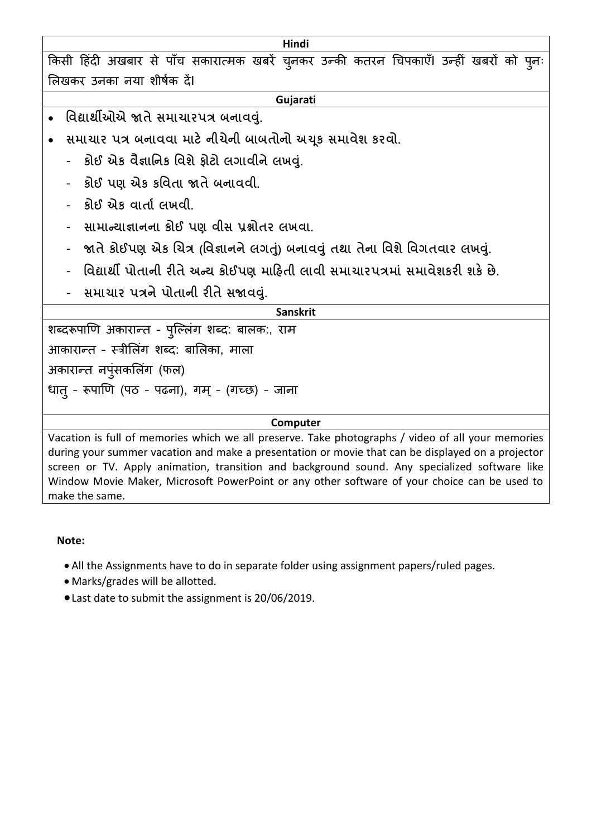किसी हिंदी अखबार से पाँच सकारात्मक खबरें चुनकर उन्की कतरन चिपकाएँ। उन्हीं खबरों को पुनः लिखकर उनका नया शीर्षक दें।

**Hindi** 

#### **Gujarati**

- **વિદ્યાર્થીઓએ જાતે સમાચારપત્ર બનાિવ. ું**
- સમાચાર પત્ર બનાવવા માટે નીચેની બાબતોનો અચૂક સમાવેશ કરવો.
	- **કોઈ એક િૈજ્ઞાવનક વિશે ફોટો લગાિીને લખવ. ું**
	- **કોઈ પણ એક કવિતા જાતે બનાિિી.**
	- **કોઈ એક િાતાા લખિી.**
	- **સામાન્યાજ્ઞાનના કોઈ પણ િીસ પ્રશ્નોતર લખિા.**
	- **જાતે કોઈપણ એક ચચત્ર (વિજ્ઞાનને લગત) ું બનાિવું તર્થા ત ેના વિશે વિગતિાર લખવ. ું**
	- **વિદ્યાર્થી પોતાની રીતે અન્ય કોઈપણ માહિતી લાિી સમાચારપત્રમાું સમાિેશકરી શકે છે.**
	- **સમાચાર પત્રને પોતાની રીતે સજાિવ. ું**

#### **Sanskrit**

शब्दरूपाणि अकारान्त - पुल्लिंग शब्द: बालक:, राम आकारान्त - स्त्रीलिंग शब्द: बालिका, माला अकारान्त नपुंसकलिंग (फल) धातु - रूपाणि (पठ - पढना), गम् - (गच्छ) - जाना

#### **Computer**

Vacation is full of memories which we all preserve. Take photographs / video of all your memories during your summer vacation and make a presentation or movie that can be displayed on a projector screen or TV. Apply animation, transition and background sound. Any specialized software like Window Movie Maker, Microsoft PowerPoint or any other software of your choice can be used to make the same.

#### **Note:**

- All the Assignments have to do in separate folder using assignment papers/ruled pages.
- Marks/grades will be allotted.
- Last date to submit the assignment is 20/06/2019.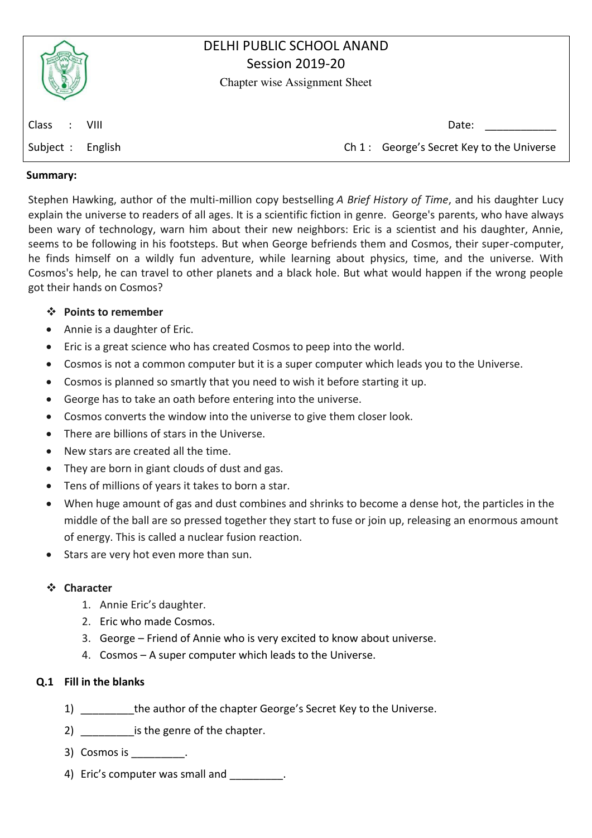|                                       | DELHI PUBLIC SCHOOL ANAND<br><b>Session 2019-20</b><br><b>Chapter wise Assignment Sheet</b> |
|---------------------------------------|---------------------------------------------------------------------------------------------|
| <b>Class</b><br>VIII<br>$\mathcal{L}$ | Date:                                                                                       |
| Subject :<br>English                  | Ch 1: George's Secret Key to the Universe                                                   |
|                                       |                                                                                             |

#### **Summary:**

Stephen Hawking, author of the multi-million copy bestselling *A Brief History of Time*, and his daughter Lucy explain the universe to readers of all ages. It is a scientific fiction in genre. George's parents, who have always been wary of technology, warn him about their new neighbors: Eric is a scientist and his daughter, Annie, seems to be following in his footsteps. But when George befriends them and Cosmos, their super-computer, he finds himself on a wildly fun adventure, while learning about physics, time, and the universe. With Cosmos's help, he can travel to other planets and a black hole. But what would happen if the wrong people got their hands on Cosmos?

#### **Points to remember**

- Annie is a daughter of Eric.
- Eric is a great science who has created Cosmos to peep into the world.
- Cosmos is not a common computer but it is a super computer which leads you to the Universe.
- Cosmos is planned so smartly that you need to wish it before starting it up.
- George has to take an oath before entering into the universe.
- Cosmos converts the window into the universe to give them closer look.
- There are billions of stars in the Universe.
- New stars are created all the time.
- They are born in giant clouds of dust and gas.
- Tens of millions of years it takes to born a star.
- When huge amount of gas and dust combines and shrinks to become a dense hot, the particles in the middle of the ball are so pressed together they start to fuse or join up, releasing an enormous amount of energy. This is called a nuclear fusion reaction.
- Stars are very hot even more than sun.

#### **Character**

- 1. Annie Eric's daughter.
- 2. Eric who made Cosmos.
- 3. George Friend of Annie who is very excited to know about universe.
- 4. Cosmos A super computer which leads to the Universe.

#### **Q.1 Fill in the blanks**

- 1) \_\_\_\_\_\_\_\_\_the author of the chapter George's Secret Key to the Universe.
- 2) is the genre of the chapter.
- 3) Cosmos is \_\_\_\_\_\_\_\_\_.
- 4) Eric's computer was small and  $\qquad \qquad$ .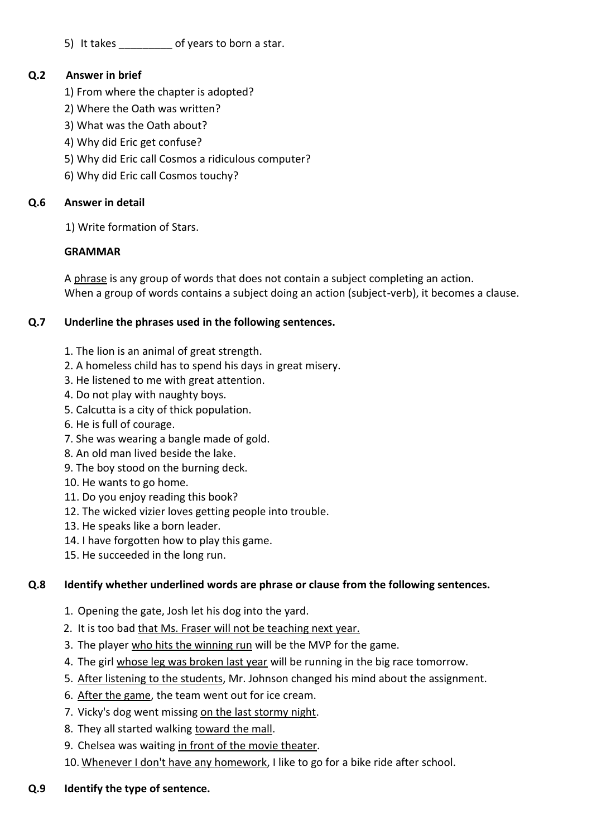5) It takes of years to born a star.

# **Q.2 Answer in brief**

- 1) From where the chapter is adopted?
- 2) Where the Oath was written?
- 3) What was the Oath about?
- 4) Why did Eric get confuse?
- 5) Why did Eric call Cosmos a ridiculous computer?
- 6) Why did Eric call Cosmos touchy?

# **Q.6 Answer in detail**

1) Write formation of Stars.

# **GRAMMAR**

A phrase is any group of words that does not contain a subject completing an action. When a group of words contains a subject doing an action (subject-verb), it becomes a clause.

# **Q.7 Underline the phrases used in the following sentences.**

- 1. The lion is an animal of great strength.
- 2. A homeless child has to spend his days in great misery.
- 3. He listened to me with great attention.
- 4. Do not play with naughty boys.
- 5. Calcutta is a city of thick population.
- 6. He is full of courage.
- 7. She was wearing a bangle made of gold.
- 8. An old man lived beside the lake.
- 9. The boy stood on the burning deck.
- 10. He wants to go home.
- 11. Do you enjoy reading this book?
- 12. The wicked vizier loves getting people into trouble.
- 13. He speaks like a born leader.
- 14. I have forgotten how to play this game.
- 15. He succeeded in the long run.

# **Q.8 Identify whether underlined words are phrase or clause from the following sentences.**

- 1. Opening the gate, Josh let his dog into the yard.
- 2. It is too bad that Ms. Fraser will not be teaching next year.
- 3. The player who hits the winning run will be the MVP for the game.
- 4. The girl whose leg was broken last year will be running in the big race tomorrow.
- 5. After listening to the students, Mr. Johnson changed his mind about the assignment.
- 6. After the game, the team went out for ice cream.
- 7. Vicky's dog went missing on the last stormy night.
- 8. They all started walking toward the mall.
- 9. Chelsea was waiting in front of the movie theater.
- 10. Whenever I don't have any homework, I like to go for a bike ride after school.

# **Q.9 Identify the type of sentence.**